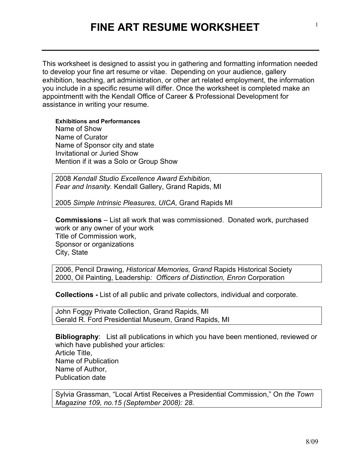## **FINE ART RESUME WORKSHEET**

This worksheet is designed to assist you in gathering and formatting information needed to develop your fine art resume or vitae. Depending on your audience, gallery exhibition, teaching, art administration, or other art related employment, the information you include in a specific resume will differ. Once the worksheet is completed make an appointmentt with the Kendall Office of Career & Professional Development for assistance in writing your resume.

**Exhibitions and Performances** Name of Show Name of Curator Name of Sponsor city and state Invitational or Juried Show Mention if it was a Solo or Group Show

2008 *Kendall Studio Excellence Award Exhibition*, *Fear and Insanity.* Kendall Gallery, Grand Rapids, MI

2005 *Simple Intrinsic Pleasures, UICA,* Grand Rapids MI

**Commissions** – List all work that was commissioned. Donated work, purchased work or any owner of your work Title of Commission work, Sponsor or organizations City, State

2006, Pencil Drawing, *Historical Memories, Grand* Rapids Historical Society 2000, Oil Painting, Leadership*: Officers of Distinction, Enron* Corporation

**Collections -** List of all public and private collectors, individual and corporate.

John Foggy Private Collection, Grand Rapids, MI Gerald R. Ford Presidential Museum, Grand Rapids, MI

**Bibliography**:List all publications in which you have been mentioned, reviewed or which have published your articles: Article Title, Name of Publication Name of Author, Publication date

Sylvia Grassman, "Local Artist Receives a Presidential Commission," On *the Town Magazine 109, no.15 (September 2008): 28.*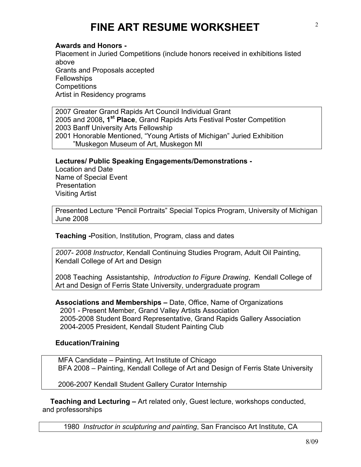## **FINE ART RESUME WORKSHEET**

**Awards and Honors -**

Placement in Juried Competitions (include honors received in exhibitions listed above Grants and Proposals accepted **Fellowships Competitions** Artist in Residency programs

2007 Greater Grand Rapids Art Council Individual Grant 2005 and 2008**, 1st Place**, Grand Rapids Arts Festival Poster Competition 2003 Banff University Arts Fellowship 2001 Honorable Mentioned, "Young Artists of Michigan" Juried Exhibition "Muskegon Museum of Art, Muskegon MI

**Lectures/ Public Speaking Engagements/Demonstrations -**

Location and Date Name of Special Event Presentation Visiting Artist

Presented Lecture "Pencil Portraits" Special Topics Program, University of Michigan June 2008

**Teaching -**Position, Institution, Program, class and dates

*2007- 2008 Instructor*, Kendall Continuing Studies Program, Adult Oil Painting, Kendall College of Art and Design

2008 Teaching Assistantship, *Introduction to Figure Drawing*, Kendall College of Art and Design of Ferris State University, undergraduate program

**Associations and Memberships –** Date, Office, Name of Organizations 2001 - Present Member, Grand Valley Artists Association 2005-2008 Student Board Representative, Grand Rapids Gallery Association 2004-2005 President, Kendall Student Painting Club

## **Education/Training**

 MFA Candidate – Painting, Art Institute of Chicago BFA 2008 – Painting, Kendall College of Art and Design of Ferris State University

2006-2007 Kendall Student Gallery Curator Internship

 **Teaching and Lecturing –** Art related only, Guest lecture, workshops conducted, and professorships

1980 *Instructor in sculpturing and painting*, San Francisco Art Institute, CA